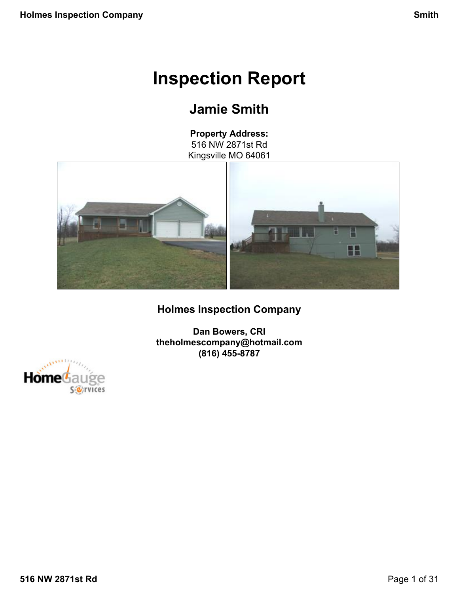# **Inspection Report**

# **Jamie Smith**

**Property Address:** 516 NW 2871st Rd Kingsville MO 64061

<span id="page-0-0"></span>

# **Holmes Inspection Company**

**Dan Bowers, CRI theholmescompany@hotmail.com (816) 455-8787**

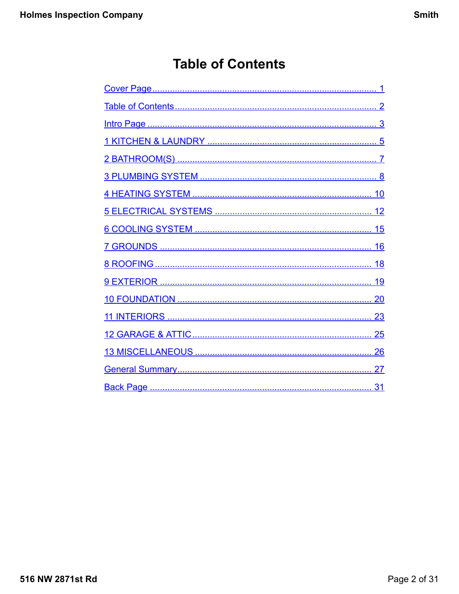# **Table of Contents**

<span id="page-1-0"></span>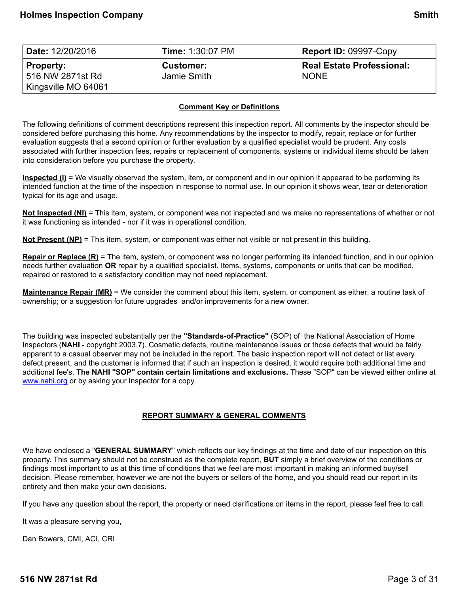<span id="page-2-0"></span>

| Date: 12/20/2016    | <b>Time: 1:30:07 PM</b> | <b>Report ID: 09997-Copy</b>     |
|---------------------|-------------------------|----------------------------------|
| <b>Property:</b>    | <b>Customer:</b>        | <b>Real Estate Professional:</b> |
| 516 NW 2871st Rd    | Jamie Smith             | <b>NONE</b>                      |
| Kingsville MO 64061 |                         |                                  |

### **Comment Key or Definitions**

The following definitions of comment descriptions represent this inspection report. All comments by the inspector should be considered before purchasing this home. Any recommendations by the inspector to modify, repair, replace or for further evaluation suggests that a second opinion or further evaluation by a qualified specialist would be prudent. Any costs associated with further inspection fees, repairs or replacement of components, systems or individual items should be taken into consideration before you purchase the property.

**Inspected (I)** = We visually observed the system, item, or component and in our opinion it appeared to be performing its intended function at the time of the inspection in response to normal use. In our opinion it shows wear, tear or deterioration typical for its age and usage.

**Not Inspected (NI)** = This item, system, or component was not inspected and we make no representations of whether or not it was functioning as intended - nor if it was in operational condition.

**Not Present (NP)** = This item, system, or component was either not visible or not present in this building.

**Repair or Replace (R)** = The item, system, or component was no longer performing its intended function, and in our opinion needs further evaluation **OR** repair by a qualified specialist. Items, systems, components or units that can be modified, repaired or restored to a satisfactory condition may not need replacement.

**Maintenance Repair (MR)** = We consider the comment about this item, system, or component as either: a routine task of ownership; or a suggestion for future upgrades and/or improvements for a new owner.

The building was inspected substantially per the **"Standards-of-Practice"** (SOP) of the National Association of Home Inspectors (**NAHI** - copyright 2003.7). Cosmetic defects, routine maintenance issues or those defects that would be fairly apparent to a casual observer may not be included in the report. The basic inspection report will not detect or list every defect present, and the customer is informed that if such an inspection is desired, it would require both additional time and additional fee's. **The NAHI "SOP" contain certain limitations and exclusions.** These "SOP" can be viewed either online at [www.nahi.org](http://www.nahi.org/) or by asking your Inspector for a copy.

### **REPORT SUMMARY & GENERAL COMMENTS**

We have enclosed a "**GENERAL SUMMARY**" which reflects our key findings at the time and date of our inspection on this property. This summary should not be construed as the complete report, **BUT** simply a brief overview of the conditions or findings most important to us at this time of conditions that we feel are most important in making an informed buy/sell decision. Please remember, however we are not the buyers or sellers of the home, and you should read our report in its entirety and then make your own decisions.

If you have any question about the report, the property or need clarifications on items in the report, please feel free to call.

It was a pleasure serving you,

Dan Bowers, CMI, ACI, CRI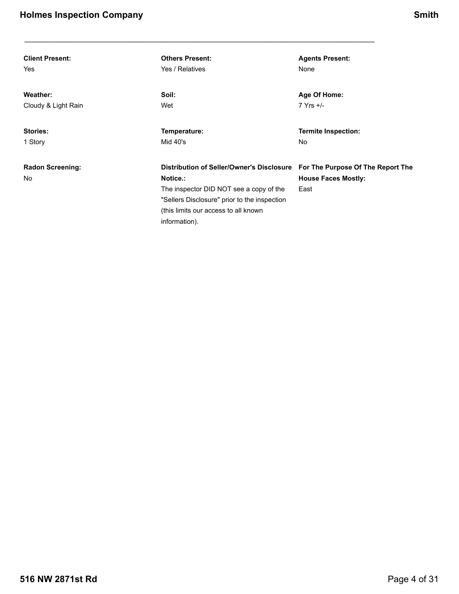| <b>Client Present:</b>         | <b>Others Present:</b>                                                                                                                                                                                    | <b>Agents Present:</b>                                                  |
|--------------------------------|-----------------------------------------------------------------------------------------------------------------------------------------------------------------------------------------------------------|-------------------------------------------------------------------------|
| Yes                            | Yes / Relatives                                                                                                                                                                                           | None                                                                    |
| Weather:                       | Soil:                                                                                                                                                                                                     | Age Of Home:                                                            |
| Cloudy & Light Rain            | Wet                                                                                                                                                                                                       | $7$ Yrs $+/-$                                                           |
| <b>Stories:</b>                | Temperature:                                                                                                                                                                                              | <b>Termite Inspection:</b>                                              |
| 1 Story                        | Mid $40's$                                                                                                                                                                                                | No.                                                                     |
| <b>Radon Screening:</b><br>No. | Distribution of Seller/Owner's Disclosure<br>Notice.:<br>The inspector DID NOT see a copy of the<br>"Sellers Disclosure" prior to the inspection<br>(this limits our access to all known<br>information). | For The Purpose Of The Report The<br><b>House Faces Mostly:</b><br>East |

 $\_$  ,  $\_$  ,  $\_$  ,  $\_$  ,  $\_$  ,  $\_$  ,  $\_$  ,  $\_$  ,  $\_$  ,  $\_$  ,  $\_$  ,  $\_$  ,  $\_$  ,  $\_$  ,  $\_$  ,  $\_$  ,  $\_$  ,  $\_$  ,  $\_$  ,  $\_$  ,  $\_$  ,  $\_$  ,  $\_$  ,  $\_$  ,  $\_$  ,  $\_$  ,  $\_$  ,  $\_$  ,  $\_$  ,  $\_$  ,  $\_$  ,  $\_$  ,  $\_$  ,  $\_$  ,  $\_$  ,  $\_$  ,  $\_$  ,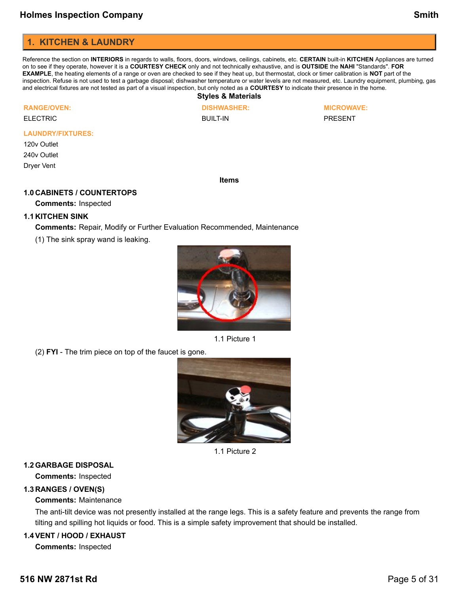# <span id="page-4-0"></span>**1. KITCHEN & LAUNDRY**

Reference the section on **INTERIORS** in regards to walls, floors, doors, windows, ceilings, cabinets, etc. **CERTAIN** built-in **KITCHEN** Appliances are turned on to see if they operate, however it is a **COURTESY CHECK** only and not technically exhaustive, and is **OUTSIDE** the **NAHI** "Standards". **FOR EXAMPLE**, the heating elements of a range or oven are checked to see if they heat up, but thermostat, clock or timer calibration is **NOT** part of the inspection. Refuse is not used to test a garbage disposal; dishwasher temperature or water levels are not measured, etc. Laundry equipment, plumbing, gas and electrical fixtures are not tested as part of a visual inspection, but only noted as a **COURTESY** to indicate their presence in the home.

**Styles & Materials**

| <b>RANGE/OVEN</b> |  |  |
|-------------------|--|--|
|                   |  |  |

ELECTRIC

**DISHWASHER:** BUILT-IN

**MICROWAVE:**

PRESENT

#### **LAUNDRY/FIXTURES:**

120v Outlet 240v Outlet Dryer Vent

**Items**

### **1.0 CABINETS / COUNTERTOPS**

**Comments:** Inspected

### **1.1 KITCHEN SINK**

**Comments:** Repair, Modify or Further Evaluation Recommended, Maintenance

(1) The sink spray wand is leaking.



1.1 Picture 1

(2) **FYI** - The trim piece on top of the faucet is gone.



1.1 Picture 2

### **1.2GARBAGE DISPOSAL**

**Comments:** Inspected

### **1.3 RANGES / OVEN(S)**

### **Comments:** Maintenance

The anti-tilt device was not presently installed at the range legs. This is a safety feature and prevents the range from tilting and spilling hot liquids or food. This is a simple safety improvement that should be installed.

### **1.4VENT / HOOD / EXHAUST**

**Comments:** Inspected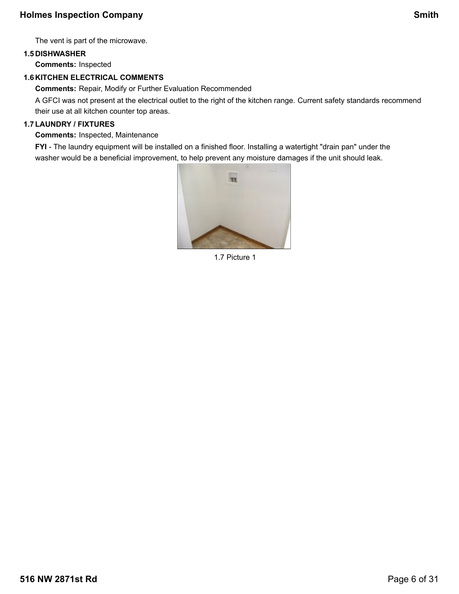The vent is part of the microwave.

# **1.5 DISHWASHER**

**Comments:** Inspected

# **1.6 KITCHEN ELECTRICAL COMMENTS**

**Comments:** Repair, Modify or Further Evaluation Recommended

A GFCI was not present at the electrical outlet to the right of the kitchen range. Current safety standards recommend their use at all kitchen counter top areas.

# **1.7LAUNDRY / FIXTURES**

**Comments:** Inspected, Maintenance

**FYI** - The laundry equipment will be installed on a finished floor. Installing a watertight "drain pan" under the washer would be a beneficial improvement, to help prevent any moisture damages if the unit should leak.



1.7 Picture 1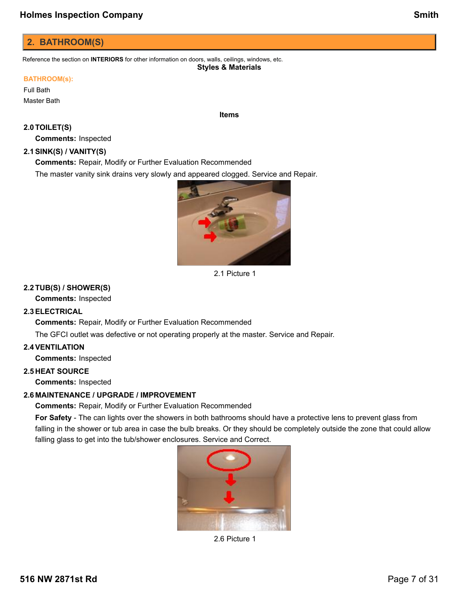# <span id="page-6-0"></span>**2. BATHROOM(S)**

Reference the section on **INTERIORS** for other information on doors, walls, ceilings, windows, etc. **Styles & Materials**

### **BATHROOM(s):**

Full Bath Master Bath

# **2.0TOILET(S)**

**Comments:** Inspected

## **2.1SINK(S) / VANITY(S)**

**Comments:** Repair, Modify or Further Evaluation Recommended

The master vanity sink drains very slowly and appeared clogged. Service and Repair.



**Items**

2.1 Picture 1

### **2.2TUB(S) / SHOWER(S)**

**Comments:** Inspected

### **2.3ELECTRICAL**

**Comments:** Repair, Modify or Further Evaluation Recommended

The GFCI outlet was defective or not operating properly at the master. Service and Repair.

### **2.4VENTILATION**

**Comments:** Inspected

### **2.5 HEAT SOURCE**

**Comments:** Inspected

### **2.6 MAINTENANCE / UPGRADE / IMPROVEMENT**

**Comments:** Repair, Modify or Further Evaluation Recommended

**For Safety** - The can lights over the showers in both bathrooms should have a protective lens to prevent glass from falling in the shower or tub area in case the bulb breaks. Or they should be completely outside the zone that could allow falling glass to get into the tub/shower enclosures. Service and Correct.



2.6 Picture 1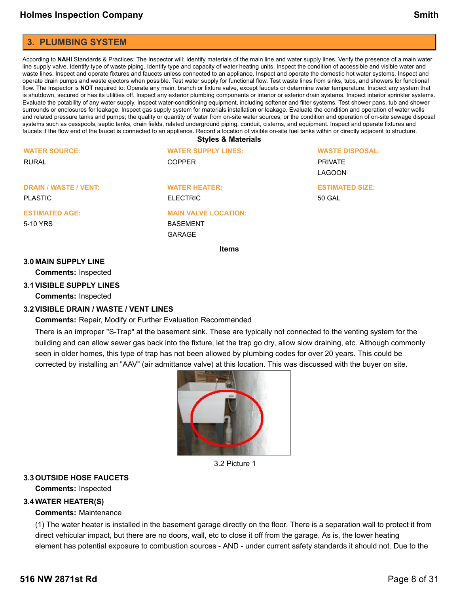# <span id="page-7-0"></span>**3. PLUMBING SYSTEM**

According to **NAHI** Standards & Practices: The Inspector will: Identify materials of the main line and water supply lines. Verify the presence of a main water line supply valve. Identify type of waste piping. Identify type and capacity of water heating units. Inspect the condition of accessible and visible water and waste lines. Inspect and operate fixtures and faucets unless connected to an appliance. Inspect and operate the domestic hot water systems. Inspect and operate drain pumps and waste ejectors when possible. Test water supply for functional flow. Test waste lines from sinks, tubs, and showers for functional flow. The Inspector is **NOT** required to: Operate any main, branch or fixture valve, except faucets or determine water temperature. Inspect any system that is shutdown, secured or has its utilities off. Inspect any exterior plumbing components or interior or exterior drain systems. Inspect interior sprinkler systems. Evaluate the potability of any water supply. Inspect water-conditioning equipment, including softener and filter systems. Test shower pans, tub and shower surrounds or enclosures for leakage. Inspect gas supply system for materials installation or leakage. Evaluate the condition and operation of water wells and related pressure tanks and pumps; the quality or quantity of water from on-site water sources; or the condition and operation of on-site sewage disposal systems such as cesspools, septic tanks, drain fields, related underground piping, conduit, cisterns, and equipment. Inspect and operate fixtures and faucets if the flow end of the faucet is connected to an appliance. Record a location of visible on-site fuel tanks within or directly adjacent to structure.

#### **Styles & Materials**

| <b>WATER SOURCE:</b>         | <b>WATER SUPPLY LINES:</b>  | <b>WASTE DISPOSAL:</b> |
|------------------------------|-----------------------------|------------------------|
| <b>RURAL</b>                 | <b>COPPER</b>               | <b>PRIVATE</b>         |
|                              |                             | <b>LAGOON</b>          |
| <b>DRAIN / WASTE / VENT:</b> | <b>WATER HEATER:</b>        | <b>ESTIMATED SIZE:</b> |
| <b>PLASTIC</b>               | <b>ELECTRIC</b>             | 50 GAL                 |
| <b>ESTIMATED AGE:</b>        | <b>MAIN VALVE LOCATION:</b> |                        |
| 5-10 YRS                     | <b>BASEMENT</b>             |                        |
|                              | <b>GARAGE</b>               |                        |

**Items**

#### **3.0 MAIN SUPPLY LINE**

**Comments:** Inspected

#### **3.1VISIBLE SUPPLY LINES**

**Comments:** Inspected

#### **3.2VISIBLE DRAIN / WASTE / VENT LINES**

**Comments:** Repair, Modify or Further Evaluation Recommended

There is an improper "S-Trap" at the basement sink. These are typically not connected to the venting system for the building and can allow sewer gas back into the fixture, let the trap go dry, allow slow draining, etc. Although commonly seen in older homes, this type of trap has not been allowed by plumbing codes for over 20 years. This could be corrected by installing an "AAV" (air admittance valve) at this location. This was discussed with the buyer on site.



3.2 Picture 1

#### **3.3OUTSIDE HOSE FAUCETS**

**Comments:** Inspected

#### **3.4WATER HEATER(S)**

#### **Comments:** Maintenance

(1) The water heater is installed in the basement garage directly on the floor. There is a separation wall to protect it from direct vehicular impact, but there are no doors, wall, etc to close it off from the garage. As is, the lower heating element has potential exposure to combustion sources - AND - under current safety standards it should not. Due to the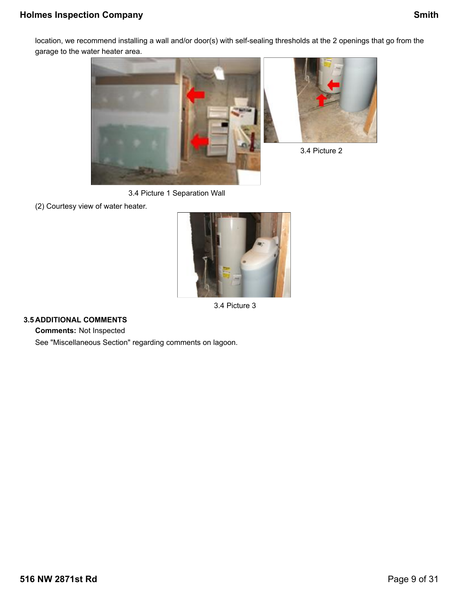# **Holmes Inspection Company Smith**

location, we recommend installing a wall and/or door(s) with self-sealing thresholds at the 2 openings that go from the garage to the water heater area.









3.4 Picture 2

3.4 Picture 3

### **3.5 ADDITIONAL COMMENTS**

**Comments:** Not Inspected

See "Miscellaneous Section" regarding comments on lagoon.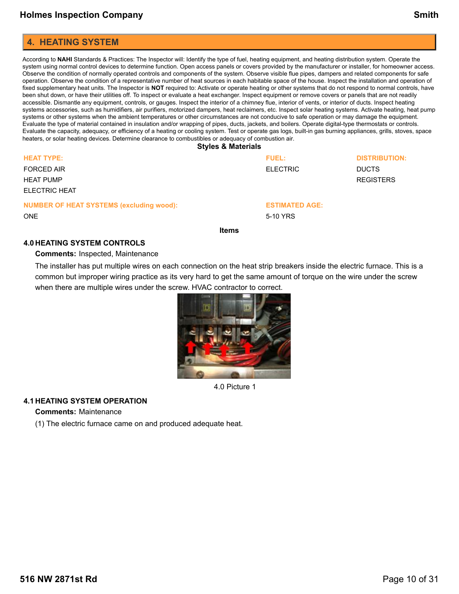### <span id="page-9-0"></span>**4. HEATING SYSTEM**

According to **NAHI** Standards & Practices: The Inspector will: Identify the type of fuel, heating equipment, and heating distribution system. Operate the system using normal control devices to determine function. Open access panels or covers provided by the manufacturer or installer, for homeowner access. Observe the condition of normally operated controls and components of the system. Observe visible flue pipes, dampers and related components for safe operation. Observe the condition of a representative number of heat sources in each habitable space of the house. Inspect the installation and operation of fixed supplementary heat units. The Inspector is **NOT** required to: Activate or operate heating or other systems that do not respond to normal controls, have been shut down, or have their utilities off. To inspect or evaluate a heat exchanger. Inspect equipment or remove covers or panels that are not readily accessible. Dismantle any equipment, controls, or gauges. Inspect the interior of a chimney flue, interior of vents, or interior of ducts. Inspect heating systems accessories, such as humidifiers, air purifiers, motorized dampers, heat reclaimers, etc. Inspect solar heating systems. Activate heating, heat pump systems or other systems when the ambient temperatures or other circumstances are not conducive to safe operation or may damage the equipment. Evaluate the type of material contained in insulation and/or wrapping of pipes, ducts, jackets, and boilers. Operate digital-type thermostats or controls. Evaluate the capacity, adequacy, or efficiency of a heating or cooling system. Test or operate gas logs, built-in gas burning appliances, grills, stoves, space heaters, or solar heating devices. Determine clearance to combustibles or adequacy of combustion air.

| <b>Styles &amp; Materials</b> |  |  |
|-------------------------------|--|--|
|                               |  |  |

| <b>HEAT TYPE:</b><br><b>FORCED AIR</b><br><b>HEAT PUMP</b><br><b>ELECTRIC HEAT</b> | <b>FUEL:</b><br><b>ELECTRIC</b>   | <b>DISTRIBUTION:</b><br><b>DUCTS</b><br><b>REGISTERS</b> |
|------------------------------------------------------------------------------------|-----------------------------------|----------------------------------------------------------|
| <b>NUMBER OF HEAT SYSTEMS (excluding wood):</b><br><b>ONE</b>                      | <b>ESTIMATED AGE:</b><br>5-10 YRS |                                                          |

**Items**

#### **4.0 HEATING SYSTEM CONTROLS**

**Comments:** Inspected, Maintenance

The installer has put multiple wires on each connection on the heat strip breakers inside the electric furnace. This is a common but improper wiring practice as its very hard to get the same amount of torque on the wire under the screw when there are multiple wires under the screw. HVAC contractor to correct.



4.0 Picture 1

### **4.1 HEATING SYSTEM OPERATION**

#### **Comments:** Maintenance

(1) The electric furnace came on and produced adequate heat.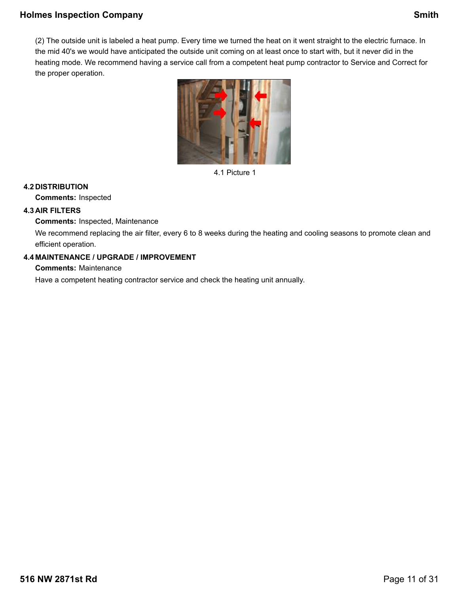# **Holmes Inspection Company Smith**

(2) The outside unit is labeled a heat pump. Every time we turned the heat on it went straight to the electric furnace. In the mid 40's we would have anticipated the outside unit coming on at least once to start with, but it never did in the heating mode. We recommend having a service call from a competent heat pump contractor to Service and Correct for the proper operation.



4.1 Picture 1

### **4.2 DISTRIBUTION**

**Comments:** Inspected

### **4.3 AIR FILTERS**

**Comments:** Inspected, Maintenance

We recommend replacing the air filter, every 6 to 8 weeks during the heating and cooling seasons to promote clean and efficient operation.

### **4.4 MAINTENANCE / UPGRADE / IMPROVEMENT**

**Comments:** Maintenance

Have a competent heating contractor service and check the heating unit annually.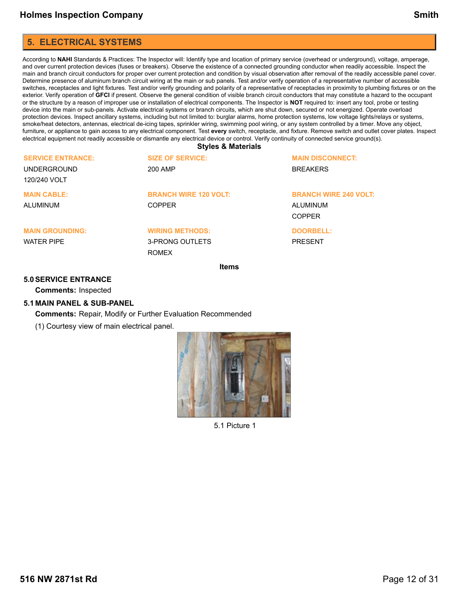# <span id="page-11-0"></span>**5. ELECTRICAL SYSTEMS**

According to **NAHI** Standards & Practices: The Inspector will: Identify type and location of primary service (overhead or underground), voltage, amperage, and over current protection devices (fuses or breakers). Observe the existence of a connected grounding conductor when readily accessible. Inspect the main and branch circuit conductors for proper over current protection and condition by visual observation after removal of the readily accessible panel cover. Determine presence of aluminum branch circuit wiring at the main or sub panels. Test and/or verify operation of a representative number of accessible switches, receptacles and light fixtures. Test and/or verify grounding and polarity of a representative of receptacles in proximity to plumbing fixtures or on the exterior. Verify operation of **GFCI** if present. Observe the general condition of visible branch circuit conductors that may constitute a hazard to the occupant or the structure by a reason of improper use or installation of electrical components. The Inspector is **NOT** required to: insert any tool, probe or testing device into the main or sub-panels. Activate electrical systems or branch circuits, which are shut down, secured or not energized. Operate overload protection devices. Inspect ancillary systems, including but not limited to: burglar alarms, home protection systems, low voltage lights/relays or systems, smoke/heat detectors, antennas, electrical de-icing tapes, sprinkler wiring, swimming pool wiring, or any system controlled by a timer. Move any object, furniture, or appliance to gain access to any electrical component. Test **every** switch, receptacle, and fixture. Remove switch and outlet cover plates. Inspect electrical equipment not readily accessible or dismantle any electrical device or control. Verify continuity of connected service ground(s).

**Styles & Materials**

|                          | $H_{\alpha}$ ma              |                              |
|--------------------------|------------------------------|------------------------------|
|                          | <b>ROMEX</b>                 |                              |
| WATFR PIPF               | 3-PRONG OUTLETS              | <b>PRESENT</b>               |
| <b>MAIN GROUNDING:</b>   | <b>WIRING METHODS:</b>       | <b>DOORBELL:</b>             |
|                          |                              | COPPER                       |
| ALUMINUM                 | <b>COPPER</b>                | ALUMINUM                     |
| <b>MAIN CABLE:</b>       | <b>BRANCH WIRE 120 VOLT:</b> | <b>BRANCH WIRE 240 VOLT:</b> |
| 120/240 VOLT             |                              |                              |
| UNDERGROUND              | 200 AMP                      | <b>BREAKERS</b>              |
| <b>SERVICE ENTRANCE:</b> | <b>SIZE OF SERVICE:</b>      | <b>MAIN DISCONNECT:</b>      |
|                          |                              |                              |

**Items**

#### **5.0SERVICE ENTRANCE**

**Comments:** Inspected

#### **5.1 MAIN PANEL & SUB-PANEL**

**Comments:** Repair, Modify or Further Evaluation Recommended

(1) Courtesy view of main electrical panel.



5.1 Picture 1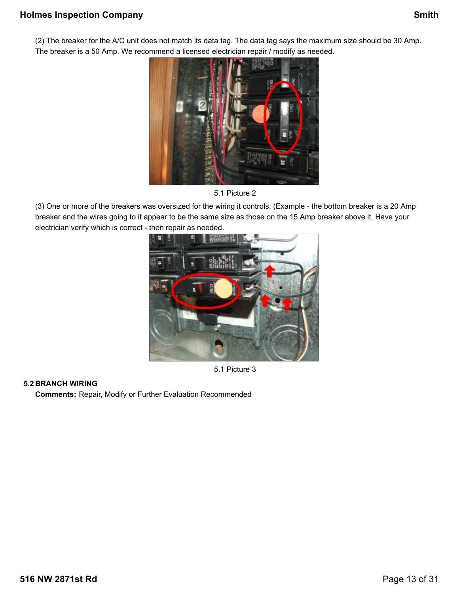(2) The breaker for the A/C unit does not match its data tag. The data tag says the maximum size should be 30 Amp. The breaker is a 50 Amp. We recommend a licensed electrician repair / modify as needed.



5.1 Picture 2

(3) One or more of the breakers was oversized for the wiring it controls. (Example - the bottom breaker is a 20 Amp breaker and the wires going to it appear to be the same size as those on the 15 Amp breaker above it. Have your electrician verify which is correct - then repair as needed.



5.1 Picture 3

### **5.2 BRANCH WIRING**

**Comments:** Repair, Modify or Further Evaluation Recommended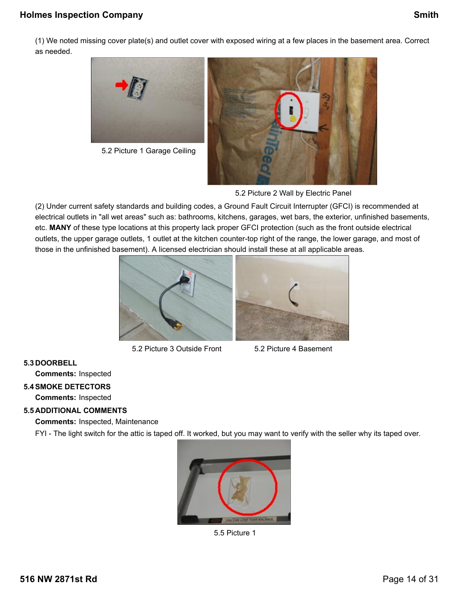# **Holmes Inspection Company Company Smith**

(1) We noted missing cover plate(s) and outlet cover with exposed wiring at a few places in the basement area. Correct as needed.



5.2 Picture 1 Garage Ceiling



5.2 Picture 2 Wall by Electric Panel

(2) Under current safety standards and building codes, a Ground Fault Circuit Interrupter (GFCI) is recommended at electrical outlets in "all wet areas" such as: bathrooms, kitchens, garages, wet bars, the exterior, unfinished basements, etc. **MANY** of these type locations at this property lack proper GFCI protection (such as the front outside electrical outlets, the upper garage outlets, 1 outlet at the kitchen counter-top right of the range, the lower garage, and most of those in the unfinished basement). A licensed electrician should install these at all applicable areas.



5.2 Picture 3 Outside Front 5.2 Picture 4 Basement



### **5.3 DOORBELL**

**Comments:** Inspected

### **5.4SMOKE DETECTORS**

**Comments:** Inspected

### **5.5 ADDITIONAL COMMENTS**

**Comments:** Inspected, Maintenance

FYI - The light switch for the attic is taped off. It worked, but you may want to verify with the seller why its taped over.



5.5 Picture 1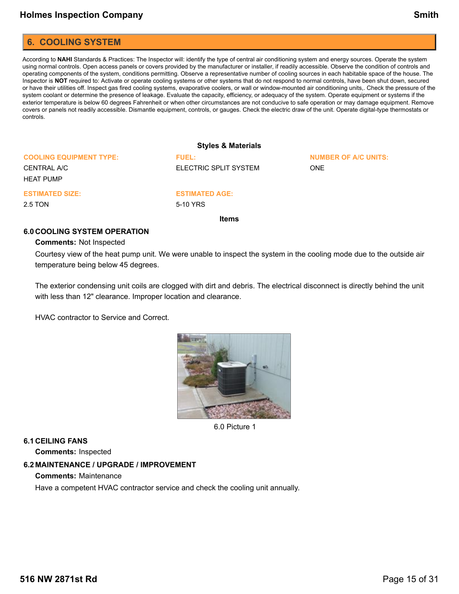### <span id="page-14-0"></span>**6. COOLING SYSTEM**

According to **NAHI** Standards & Practices: The Inspector will: identify the type of central air conditioning system and energy sources. Operate the system using normal controls. Open access panels or covers provided by the manufacturer or installer, if readily accessible. Observe the condition of controls and operating components of the system, conditions permitting. Observe a representative number of cooling sources in each habitable space of the house. The Inspector is **NOT** required to: Activate or operate cooling systems or other systems that do not respond to normal controls, have been shut down, secured or have their utilities off. Inspect gas fired cooling systems, evaporative coolers, or wall or window-mounted air conditioning units,. Check the pressure of the system coolant or determine the presence of leakage. Evaluate the capacity, efficiency, or adequacy of the system. Operate equipment or systems if the exterior temperature is below 60 degrees Fahrenheit or when other circumstances are not conducive to safe operation or may damage equipment. Remove covers or panels not readily accessible. Dismantle equipment, controls, or gauges. Check the electric draw of the unit. Operate digital-type thermostats or controls.

#### **Styles & Materials COOLING EQUIPMENT TYPE:** CENTRAL A/C HEAT PUMP **FUEL:** ELECTRIC SPLIT SYSTEM **NUMBER OF A/C UNITS:** ONE **ESTIMATED SIZE:** 2.5 TON **ESTIMATED AGE:** 5-10 YRS

**Items**

#### **6.0 COOLING SYSTEM OPERATION**

#### **Comments:** Not Inspected

Courtesy view of the heat pump unit. We were unable to inspect the system in the cooling mode due to the outside air temperature being below 45 degrees.

The exterior condensing unit coils are clogged with dirt and debris. The electrical disconnect is directly behind the unit with less than 12" clearance. Improper location and clearance.

HVAC contractor to Service and Correct.



6.0 Picture 1

#### **6.1 CEILING FANS**

**Comments:** Inspected

### **6.2 MAINTENANCE / UPGRADE / IMPROVEMENT**

**Comments:** Maintenance

Have a competent HVAC contractor service and check the cooling unit annually.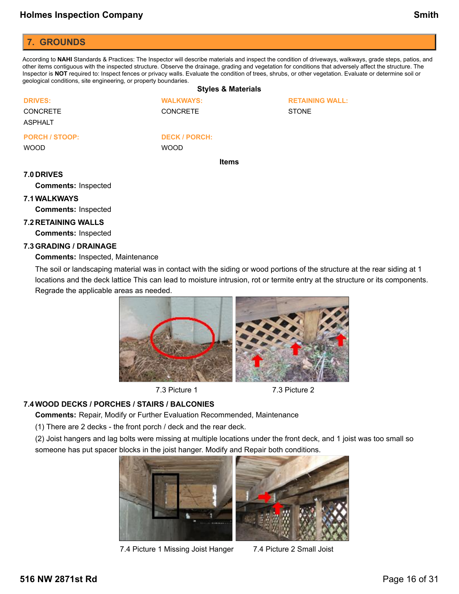# <span id="page-15-0"></span>**7. GROUNDS**

According to **NAHI** Standards & Practices: The Inspector will describe materials and inspect the condition of driveways, walkways, grade steps, patios, and other items contiguous with the inspected structure. Observe the drainage, grading and vegetation for conditions that adversely affect the structure. The Inspector is **NOT** required to: Inspect fences or privacy walls. Evaluate the condition of trees, shrubs, or other vegetation. Evaluate or determine soil or geological conditions, site engineering, or property boundaries.

#### **Styles & Materials DRIVES:** CONCRETE ASPHALT **WALKWAYS: CONCRETE RETAINING WALL:** STONE **PORCH / STOOP:** WOOD **DECK / PORCH:** WOOD **Items**

#### **7.0 DRIVES**

**Comments:** Inspected

### **7.1WALKWAYS**

**Comments:** Inspected

# **7.2 RETAINING WALLS**

**Comments:** Inspected

### **7.3GRADING / DRAINAGE**

**Comments:** Inspected, Maintenance

The soil or landscaping material was in contact with the siding or wood portions of the structure at the rear siding at 1 locations and the deck lattice This can lead to moisture intrusion, rot or termite entry at the structure or its components. Regrade the applicable areas as needed.



7.3 Picture 1 7.3 Picture 2

### **7.4WOOD DECKS / PORCHES / STAIRS / BALCONIES**

**Comments:** Repair, Modify or Further Evaluation Recommended, Maintenance

(1) There are 2 decks - the front porch / deck and the rear deck.

(2) Joist hangers and lag bolts were missing at multiple locations under the front deck, and 1 joist was too small so someone has put spacer blocks in the joist hanger. Modify and Repair both conditions.



7.4 Picture 1 Missing Joist Hanger 7.4 Picture 2 Small Joist

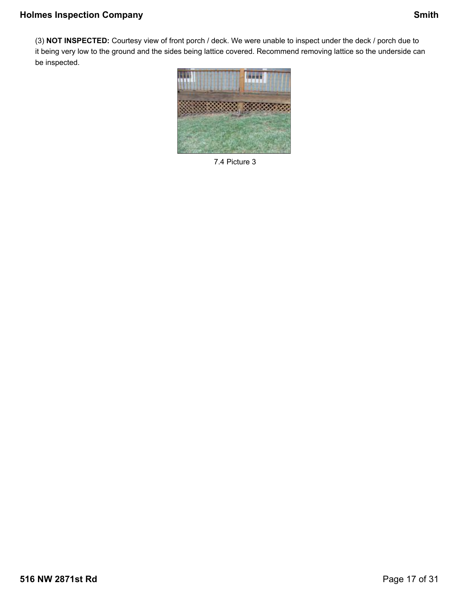(3) **NOT INSPECTED:** Courtesy view of front porch / deck. We were unable to inspect under the deck / porch due to it being very low to the ground and the sides being lattice covered. Recommend removing lattice so the underside can be inspected.



7.4 Picture 3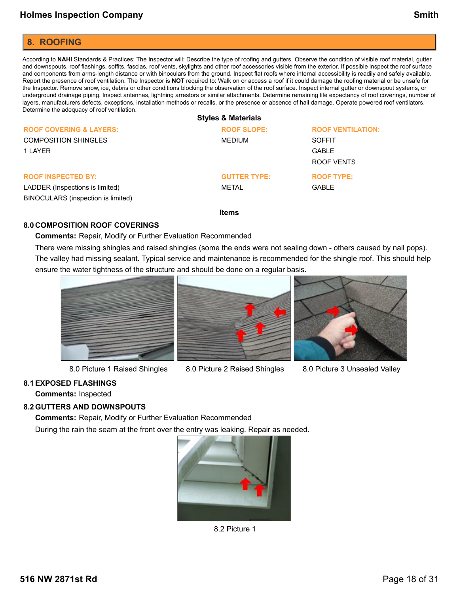# <span id="page-17-0"></span>**8. ROOFING**

According to **NAHI** Standards & Practices: The Inspector will: Describe the type of roofing and gutters. Observe the condition of visible roof material, gutter and downspouts, roof flashings, soffits, fascias, roof vents, skylights and other roof accessories visible from the exterior. If possible inspect the roof surface and components from arms-length distance or with binoculars from the ground. Inspect flat roofs where internal accessibility is readily and safely available. Report the presence of roof ventilation. The Inspector is **NOT** required to: Walk on or access a roof if it could damage the roofing material or be unsafe for the Inspector. Remove snow, ice, debris or other conditions blocking the observation of the roof surface. Inspect internal gutter or downspout systems, or underground drainage piping. Inspect antennas, lightning arrestors or similar attachments. Determine remaining life expectancy of roof coverings, number of layers, manufacturers defects, exceptions, installation methods or recalls, or the presence or absence of hail damage. Operate powered roof ventilators. Determine the adequacy of roof ventilation.

|                                    | <b>Styles &amp; Materials</b> |                          |
|------------------------------------|-------------------------------|--------------------------|
| <b>ROOF COVERING &amp; LAYERS:</b> | <b>ROOF SLOPE:</b>            | <b>ROOF VENTILATION:</b> |
| <b>COMPOSITION SHINGLES</b>        | MEDIUM                        | <b>SOFFIT</b>            |
| 1 LAYER                            |                               | <b>GABLE</b>             |
|                                    |                               | ROOF VENTS               |
| <b>ROOF INSPECTED BY:</b>          | <b>GUTTER TYPE:</b>           | <b>ROOF TYPE:</b>        |
| LADDER (Inspections is limited)    | METAL                         | <b>GABLE</b>             |
| BINOCULARS (inspection is limited) |                               |                          |

**Items**

### **8.0 COMPOSITION ROOF COVERINGS**

**Comments:** Repair, Modify or Further Evaluation Recommended

There were missing shingles and raised shingles (some the ends were not sealing down - others caused by nail pops). The valley had missing sealant. Typical service and maintenance is recommended for the shingle roof. This should help ensure the water tightness of the structure and should be done on a regular basis.



8.0 Picture 1 Raised Shingles 8.0 Picture 2 Raised Shingles 8.0 Picture 3 Unsealed Valley





### **8.1EXPOSED FLASHINGS**

**Comments:** Inspected

### **8.2GUTTERS AND DOWNSPOUTS**

**Comments:** Repair, Modify or Further Evaluation Recommended

During the rain the seam at the front over the entry was leaking. Repair as needed.



8.2 Picture 1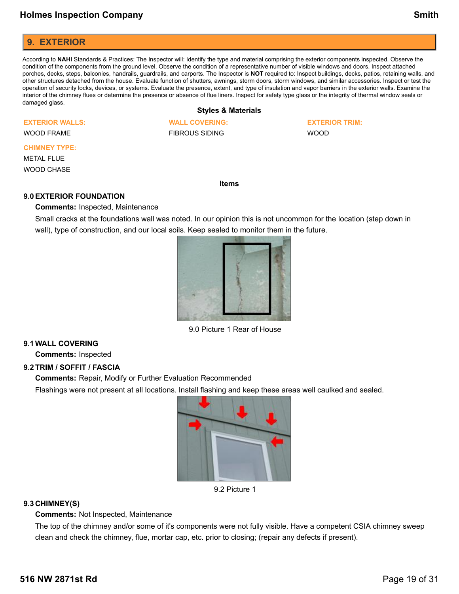### <span id="page-18-0"></span>**9. EXTERIOR**

According to **NAHI** Standards & Practices: The Inspector will: Identify the type and material comprising the exterior components inspected. Observe the condition of the components from the ground level. Observe the condition of a representative number of visible windows and doors. Inspect attached porches, decks, steps, balconies, handrails, guardrails, and carports. The Inspector is **NOT** required to: Inspect buildings, decks, patios, retaining walls, and other structures detached from the house. Evaluate function of shutters, awnings, storm doors, storm windows, and similar accessories. Inspect or test the operation of security locks, devices, or systems. Evaluate the presence, extent, and type of insulation and vapor barriers in the exterior walls. Examine the interior of the chimney flues or determine the presence or absence of flue liners. Inspect for safety type glass or the integrity of thermal window seals or damaged glass.

### **Styles & Materials**

#### **EXTERIOR WALLS:**

WOOD FRAME

### **CHIMNEY TYPE:**

METAL FLUE

WOOD CHASE

#### **Items**

#### **9.0EXTERIOR FOUNDATION**

**Comments:** Inspected, Maintenance

Small cracks at the foundations wall was noted. In our opinion this is not uncommon for the location (step down in wall), type of construction, and our local soils. Keep sealed to monitor them in the future.



9.0 Picture 1 Rear of House

### **9.1WALL COVERING**

**Comments:** Inspected

### **9.2TRIM / SOFFIT / FASCIA**

**Comments:** Repair, Modify or Further Evaluation Recommended

Flashings were not present at all locations. Install flashing and keep these areas well caulked and sealed.



9.2 Picture 1

### **9.3 CHIMNEY(S)**

**Comments:** Not Inspected, Maintenance

The top of the chimney and/or some of it's components were not fully visible. Have a competent CSIA chimney sweep clean and check the chimney, flue, mortar cap, etc. prior to closing; (repair any defects if present).

**WALL COVERING:** FIBROUS SIDING

**EXTERIOR TRIM:** WOOD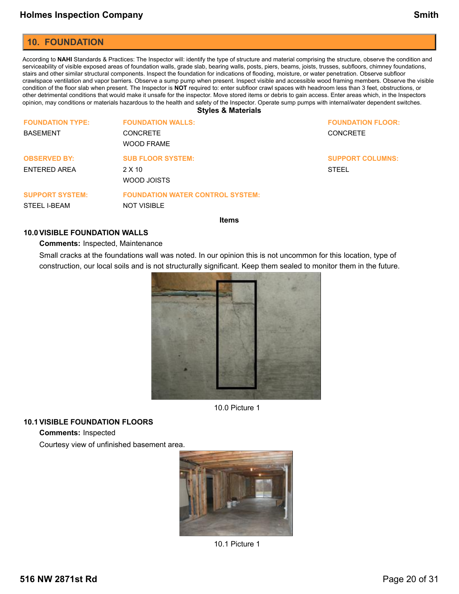### <span id="page-19-0"></span>**10. FOUNDATION**

According to NAHI Standards & Practices: The Inspector will: identify the type of structure and material comprising the structure, observe the condition and serviceability of visible exposed areas of foundation walls, grade slab, bearing walls, posts, piers, beams, joists, trusses, subfloors, chimney foundations, stairs and other similar structural components. Inspect the foundation for indications of flooding, moisture, or water penetration. Observe subfloor crawlspace ventilation and vapor barriers. Observe a sump pump when present. Inspect visible and accessible wood framing members. Observe the visible condition of the floor slab when present. The Inspector is **NOT** required to: enter subfloor crawl spaces with headroom less than 3 feet, obstructions, or other detrimental conditions that would make it unsafe for the inspector. Move stored items or debris to gain access. Enter areas which, in the Inspectors opinion, may conditions or materials hazardous to the health and safety of the Inspector. Operate sump pumps with internal/water dependent switches.

**Styles & Materials**

| <b>FOUNDATION TYPE:</b><br><b>BASEMENT</b> | <b>FOUNDATION WALLS:</b><br><b>CONCRETE</b><br><b>WOOD FRAME</b> | <b>FOUNDATION FLOOR:</b><br><b>CONCRETE</b> |
|--------------------------------------------|------------------------------------------------------------------|---------------------------------------------|
| <b>OBSERVED BY:</b><br>ENTERED AREA        | <b>SUB FLOOR SYSTEM:</b><br>$2 \times 10$<br>WOOD JOISTS         | <b>SUPPORT COLUMNS:</b><br><b>STEEL</b>     |
| <b>SUPPORT SYSTEM:</b><br>STEEL I-BEAM     | <b>FOUNDATION WATER CONTROL SYSTEM:</b><br><b>NOT VISIBLE</b>    |                                             |
|                                            |                                                                  |                                             |

**Items**

#### **10.0VISIBLE FOUNDATION WALLS**

#### **Comments:** Inspected, Maintenance

Small cracks at the foundations wall was noted. In our opinion this is not uncommon for this location, type of construction, our local soils and is not structurally significant. Keep them sealed to monitor them in the future.



10.0 Picture 1

#### **10.1VISIBLE FOUNDATION FLOORS**

**Comments:** Inspected

Courtesy view of unfinished basement area.



10.1 Picture 1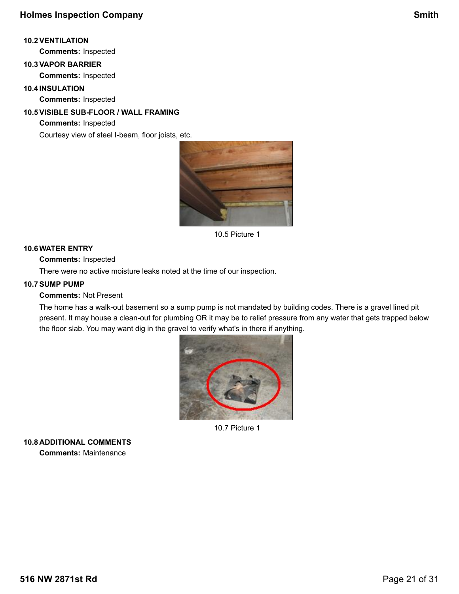### **10.2VENTILATION**

**Comments:** Inspected

# **10.3VAPOR BARRIER**

**Comments:** Inspected

### **10.4INSULATION**

**Comments:** Inspected

## **10.5VISIBLE SUB-FLOOR / WALL FRAMING**

**Comments:** Inspected

Courtesy view of steel I-beam, floor joists, etc.



10.5 Picture 1

### **10.6WATER ENTRY**

**Comments:** Inspected

There were no active moisture leaks noted at the time of our inspection.

### **10.7SUMP PUMP**

**Comments:** Not Present

The home has a walk-out basement so a sump pump is not mandated by building codes. There is a gravel lined pit present. It may house a clean-out for plumbing OR it may be to relief pressure from any water that gets trapped below the floor slab. You may want dig in the gravel to verify what's in there if anything.



10.7 Picture 1

**10.8 ADDITIONAL COMMENTS Comments:** Maintenance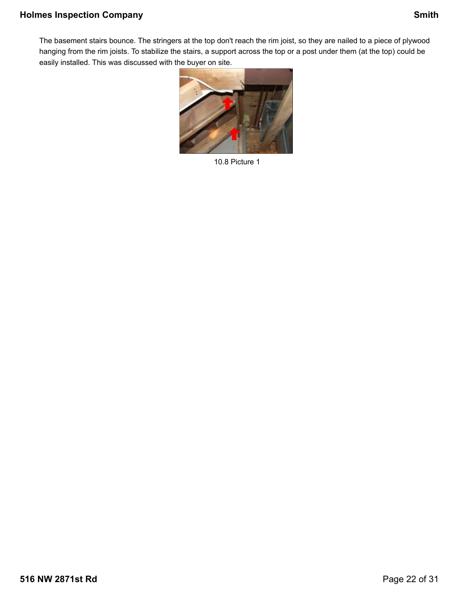The basement stairs bounce. The stringers at the top don't reach the rim joist, so they are nailed to a piece of plywood hanging from the rim joists. To stabilize the stairs, a support across the top or a post under them (at the top) could be easily installed. This was discussed with the buyer on site.



10.8 Picture 1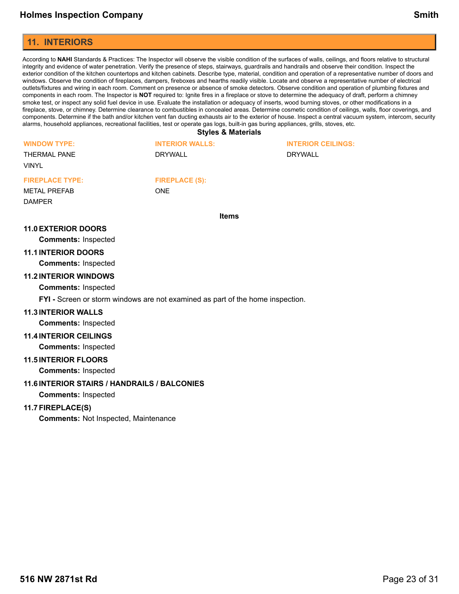### <span id="page-22-0"></span>**11. INTERIORS**

According to **NAHI** Standards & Practices: The Inspector will observe the visible condition of the surfaces of walls, ceilings, and floors relative to structural integrity and evidence of water penetration. Verify the presence of steps, stairways, guardrails and handrails and observe their condition. Inspect the exterior condition of the kitchen countertops and kitchen cabinets. Describe type, material, condition and operation of a representative number of doors and windows. Observe the condition of fireplaces, dampers, fireboxes and hearths readily visible. Locate and observe a representative number of electrical outlets/fixtures and wiring in each room. Comment on presence or absence of smoke detectors. Observe condition and operation of plumbing fixtures and components in each room. The Inspector is **NOT** required to: Ignite fires in a fireplace or stove to determine the adequacy of draft, perform a chimney smoke test, or inspect any solid fuel device in use. Evaluate the installation or adequacy of inserts, wood burning stoves, or other modifications in a fireplace, stove, or chimney. Determine clearance to combustibles in concealed areas. Determine cosmetic condition of ceilings, walls, floor coverings, and components. Determine if the bath and/or kitchen vent fan ducting exhausts air to the exterior of house. Inspect a central vacuum system, intercom, security alarms, household appliances, recreational facilities, test or operate gas logs, built-in gas buring appliances, grills, stoves, etc.

**Styles & Materials**

| <b>WINDOW TYPE:</b><br><b>THERMAL PANE</b><br><b>VINYL</b> | <b>INTERIOR WALLS:</b><br>DRYWALL   | <b>INTERIOR CEILINGS:</b><br><b>DRYWALL</b> |
|------------------------------------------------------------|-------------------------------------|---------------------------------------------|
| <b>FIREPLACE TYPE:</b><br><b>METAL PREFAB</b>              | <b>FIREPLACE (S):</b><br><b>ONE</b> |                                             |
| <b>DAMPER</b>                                              |                                     |                                             |

**Items**

#### **11.0EXTERIOR DOORS**

**Comments:** Inspected

#### **11.1INTERIOR DOORS**

**Comments:** Inspected

#### **11.2INTERIOR WINDOWS**

**Comments:** Inspected

**FYI -** Screen or storm windows are not examined as part of the home inspection.

#### **11.3INTERIOR WALLS**

**Comments:** Inspected

**11.4INTERIOR CEILINGS**

**Comments:** Inspected

#### **11.5INTERIOR FLOORS**

**Comments:** Inspected

### **11.6INTERIOR STAIRS / HANDRAILS / BALCONIES**

**Comments:** Inspected

### **11.7FIREPLACE(S)**

**Comments:** Not Inspected, Maintenance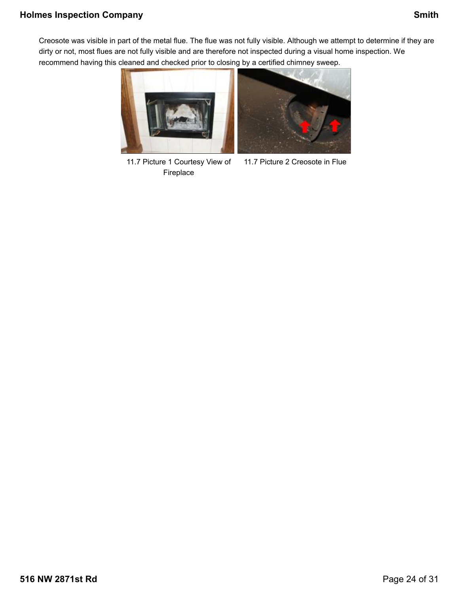# **Holmes Inspection Company Smith**

Creosote was visible in part of the metal flue. The flue was not fully visible. Although we attempt to determine if they are dirty or not, most flues are not fully visible and are therefore not inspected during a visual home inspection. We recommend having this cleaned and checked prior to closing by a certified chimney sweep.



11.7 Picture 1 Courtesy View of Fireplace

11.7 Picture 2 Creosote in Flue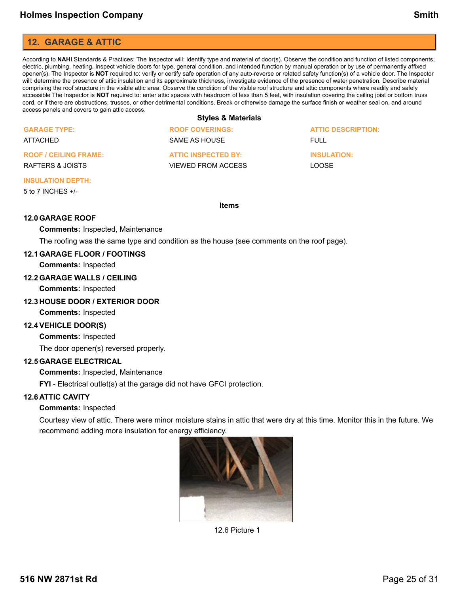# <span id="page-24-0"></span>**12. GARAGE & ATTIC**

According to **NAHI** Standards & Practices: The Inspector will: Identify type and material of door(s). Observe the condition and function of listed components; electric, plumbing, heating. Inspect vehicle doors for type, general condition, and intended function by manual operation or by use of permanently affixed opener(s). The Inspector is **NOT** required to: verify or certify safe operation of any auto-reverse or related safety function(s) of a vehicle door. The Inspector will: determine the presence of attic insulation and its approximate thickness, investigate evidence of the presence of water penetration. Describe material comprising the roof structure in the visible attic area. Observe the condition of the visible roof structure and attic components where readily and safely accessible The Inspector is **NOT** required to: enter attic spaces with headroom of less than 5 feet, with insulation covering the ceiling joist or bottom truss cord, or if there are obstructions, trusses, or other detrimental conditions. Break or otherwise damage the surface finish or weather seal on, and around access panels and covers to gain attic access.

#### **Styles & Materials**

| <b>GARAGE TYPE:</b>          | <b>ROOF COVERINGS:</b>     | <b>ATTIC DESCRIPTION:</b> |
|------------------------------|----------------------------|---------------------------|
| ATTACHED                     | SAME AS HOUSE              | FULL.                     |
| <b>ROOF / CEILING FRAME:</b> | <b>ATTIC INSPECTED BY:</b> | <b>INSULATION:</b>        |
| RAFTERS & JOISTS             | VIEWED FROM ACCESS         | <b>LOOSE</b>              |
|                              |                            |                           |

#### **INSULATION DEPTH:**

5 to 7 INCHES +/-

#### **Items**

### **12.0GARAGE ROOF**

#### **Comments:** Inspected, Maintenance

The roofing was the same type and condition as the house (see comments on the roof page).

#### **12.1GARAGE FLOOR / FOOTINGS**

**Comments:** Inspected

#### **12.2GARAGE WALLS / CEILING**

**Comments:** Inspected

#### **12.3 HOUSE DOOR / EXTERIOR DOOR**

**Comments:** Inspected

#### **12.4VEHICLE DOOR(S)**

**Comments:** Inspected

The door opener(s) reversed properly.

#### **12.5GARAGE ELECTRICAL**

**Comments:** Inspected, Maintenance

**FYI** - Electrical outlet(s) at the garage did not have GFCI protection.

#### **12.6 ATTIC CAVITY**

#### **Comments:** Inspected

Courtesy view of attic. There were minor moisture stains in attic that were dry at this time. Monitor this in the future. We recommend adding more insulation for energy efficiency.



12.6 Picture 1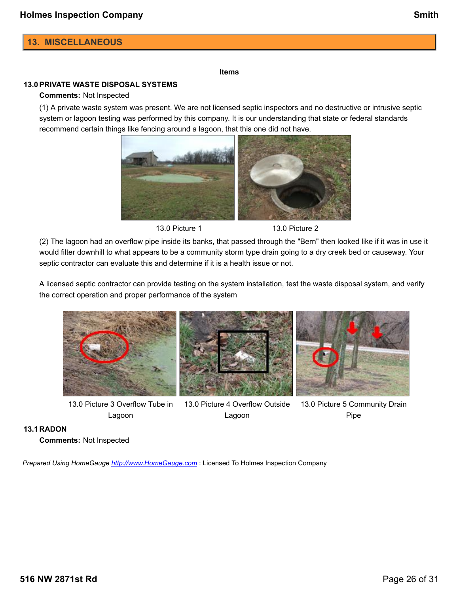# <span id="page-25-0"></span>**13. MISCELLANEOUS**

#### **Items**

### **13.0PRIVATE WASTE DISPOSAL SYSTEMS**

#### **Comments:** Not Inspected

(1) A private waste system was present. We are not licensed septic inspectors and no destructive or intrusive septic system or lagoon testing was performed by this company. It is our understanding that state or federal standards recommend certain things like fencing around a lagoon, that this one did not have.



13.0 Picture 1 13.0 Picture 2

(2) The lagoon had an overflow pipe inside its banks, that passed through the "Bern" then looked like if it was in use it would filter downhill to what appears to be a community storm type drain going to a dry creek bed or causeway. Your septic contractor can evaluate this and determine if it is a health issue or not.

A licensed septic contractor can provide testing on the system installation, test the waste disposal system, and verify the correct operation and proper performance of the system



13.0 Picture 3 Overflow Tube in Lagoon

13.0 Picture 4 Overflow Outside Lagoon

13.0 Picture 5 Community Drain Pipe

#### **13.1 RADON**

**Comments:** Not Inspected

*Prepared Using HomeGauge <http://www.HomeGauge.com>* : Licensed To Holmes Inspection Company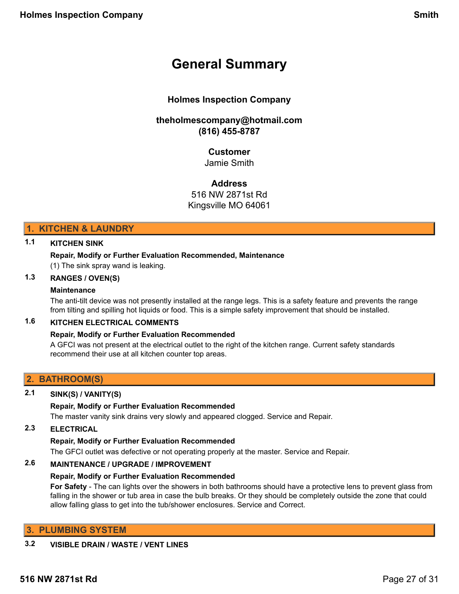# <span id="page-26-0"></span>**General Summary**

# **Holmes Inspection Company**

# **theholmescompany@hotmail.com (816) 455-8787**

# **Customer**

Jamie Smith

### **Address**

516 NW 2871st Rd

Kingsville MO 64061

### **1. KITCHEN & LAUNDRY**

### **1.1 KITCHEN SINK**

### **Repair, Modify or Further Evaluation Recommended, Maintenance**

(1) The sink spray wand is leaking.

### **1.3 RANGES / OVEN(S)**

### **Maintenance**

The anti-tilt device was not presently installed at the range legs. This is a safety feature and prevents the range from tilting and spilling hot liquids or food. This is a simple safety improvement that should be installed.

### **1.6 KITCHEN ELECTRICAL COMMENTS**

### **Repair, Modify or Further Evaluation Recommended**

A GFCI was not present at the electrical outlet to the right of the kitchen range. Current safety standards recommend their use at all kitchen counter top areas.

### **2. BATHROOM(S)**

### **2.1 SINK(S) / VANITY(S)**

### **Repair, Modify or Further Evaluation Recommended**

The master vanity sink drains very slowly and appeared clogged. Service and Repair.

### **2.3 ELECTRICAL**

### **Repair, Modify or Further Evaluation Recommended**

The GFCI outlet was defective or not operating properly at the master. Service and Repair.

### **2.6 MAINTENANCE / UPGRADE / IMPROVEMENT**

### **Repair, Modify or Further Evaluation Recommended**

**For Safety** - The can lights over the showers in both bathrooms should have a protective lens to prevent glass from falling in the shower or tub area in case the bulb breaks. Or they should be completely outside the zone that could allow falling glass to get into the tub/shower enclosures. Service and Correct.

### **3. PLUMBING SYSTEM**

### **3.2 VISIBLE DRAIN / WASTE / VENT LINES**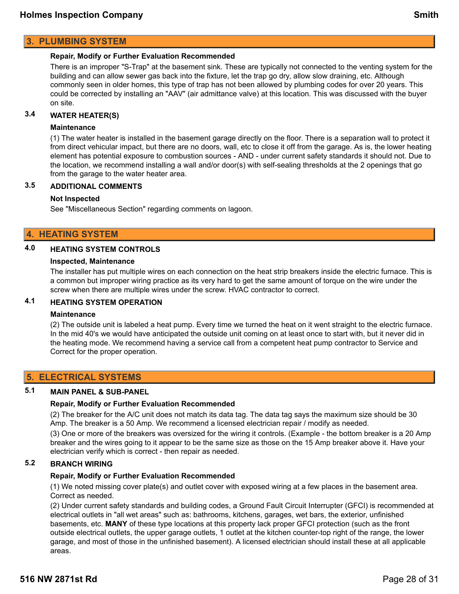### **3. PLUMBING SYSTEM**

#### **Repair, Modify or Further Evaluation Recommended**

There is an improper "S-Trap" at the basement sink. These are typically not connected to the venting system for the building and can allow sewer gas back into the fixture, let the trap go dry, allow slow draining, etc. Although commonly seen in older homes, this type of trap has not been allowed by plumbing codes for over 20 years. This could be corrected by installing an "AAV" (air admittance valve) at this location. This was discussed with the buyer on site.

### **3.4 WATER HEATER(S)**

#### **Maintenance**

(1) The water heater is installed in the basement garage directly on the floor. There is a separation wall to protect it from direct vehicular impact, but there are no doors, wall, etc to close it off from the garage. As is, the lower heating element has potential exposure to combustion sources - AND - under current safety standards it should not. Due to the location, we recommend installing a wall and/or door(s) with self-sealing thresholds at the 2 openings that go from the garage to the water heater area.

### **3.5 ADDITIONAL COMMENTS**

#### **Not Inspected**

See "Miscellaneous Section" regarding comments on lagoon.

### **4. HEATING SYSTEM**

## **4.0 HEATING SYSTEM CONTROLS**

#### **Inspected, Maintenance**

The installer has put multiple wires on each connection on the heat strip breakers inside the electric furnace. This is a common but improper wiring practice as its very hard to get the same amount of torque on the wire under the screw when there are multiple wires under the screw. HVAC contractor to correct.

### **4.1 HEATING SYSTEM OPERATION**

#### **Maintenance**

(2) The outside unit is labeled a heat pump. Every time we turned the heat on it went straight to the electric furnace. In the mid 40's we would have anticipated the outside unit coming on at least once to start with, but it never did in the heating mode. We recommend having a service call from a competent heat pump contractor to Service and Correct for the proper operation.

### **5. ELECTRICAL SYSTEMS**

#### **5.1 MAIN PANEL & SUB-PANEL**

#### **Repair, Modify or Further Evaluation Recommended**

(2) The breaker for the A/C unit does not match its data tag. The data tag says the maximum size should be 30 Amp. The breaker is a 50 Amp. We recommend a licensed electrician repair / modify as needed.

(3) One or more of the breakers was oversized for the wiring it controls. (Example - the bottom breaker is a 20 Amp breaker and the wires going to it appear to be the same size as those on the 15 Amp breaker above it. Have your electrician verify which is correct - then repair as needed.

## **5.2 BRANCH WIRING**

#### **Repair, Modify or Further Evaluation Recommended**

(1) We noted missing cover plate(s) and outlet cover with exposed wiring at a few places in the basement area. Correct as needed.

(2) Under current safety standards and building codes, a Ground Fault Circuit Interrupter (GFCI) is recommended at electrical outlets in "all wet areas" such as: bathrooms, kitchens, garages, wet bars, the exterior, unfinished basements, etc. **MANY** of these type locations at this property lack proper GFCI protection (such as the front outside electrical outlets, the upper garage outlets, 1 outlet at the kitchen counter-top right of the range, the lower garage, and most of those in the unfinished basement). A licensed electrician should install these at all applicable areas.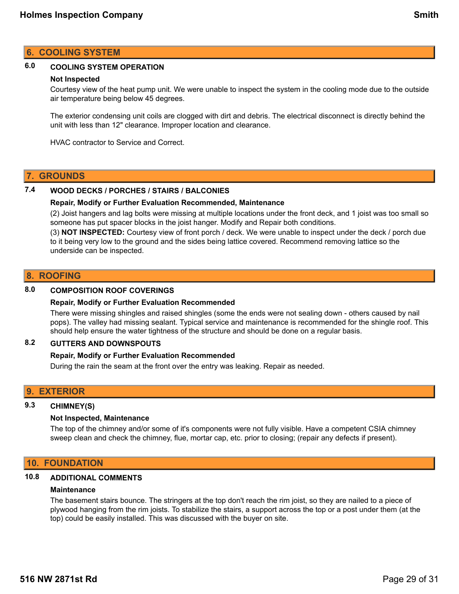### **6. COOLING SYSTEM**

### **6.0 COOLING SYSTEM OPERATION**

#### **Not Inspected**

Courtesy view of the heat pump unit. We were unable to inspect the system in the cooling mode due to the outside air temperature being below 45 degrees.

The exterior condensing unit coils are clogged with dirt and debris. The electrical disconnect is directly behind the unit with less than 12" clearance. Improper location and clearance.

HVAC contractor to Service and Correct.

### **7. GROUNDS**

### **7.4 WOOD DECKS / PORCHES / STAIRS / BALCONIES**

#### **Repair, Modify or Further Evaluation Recommended, Maintenance**

(2) Joist hangers and lag bolts were missing at multiple locations under the front deck, and 1 joist was too small so someone has put spacer blocks in the joist hanger. Modify and Repair both conditions.

(3) **NOT INSPECTED:** Courtesy view of front porch / deck. We were unable to inspect under the deck / porch due to it being very low to the ground and the sides being lattice covered. Recommend removing lattice so the underside can be inspected.

### **8. ROOFING**

### **8.0 COMPOSITION ROOF COVERINGS**

#### **Repair, Modify or Further Evaluation Recommended**

There were missing shingles and raised shingles (some the ends were not sealing down - others caused by nail pops). The valley had missing sealant. Typical service and maintenance is recommended for the shingle roof. This should help ensure the water tightness of the structure and should be done on a regular basis.

### **8.2 GUTTERS AND DOWNSPOUTS**

#### **Repair, Modify or Further Evaluation Recommended**

During the rain the seam at the front over the entry was leaking. Repair as needed.

### **9. EXTERIOR**

### **9.3 CHIMNEY(S)**

#### **Not Inspected, Maintenance**

The top of the chimney and/or some of it's components were not fully visible. Have a competent CSIA chimney sweep clean and check the chimney, flue, mortar cap, etc. prior to closing; (repair any defects if present).

### **10. FOUNDATION**

#### **10.8 ADDITIONAL COMMENTS**

#### **Maintenance**

The basement stairs bounce. The stringers at the top don't reach the rim joist, so they are nailed to a piece of plywood hanging from the rim joists. To stabilize the stairs, a support across the top or a post under them (at the top) could be easily installed. This was discussed with the buyer on site.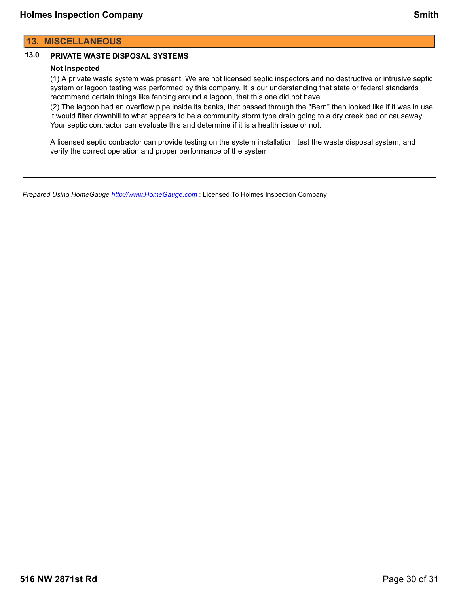# **13.0 PRIVATE WASTE DISPOSAL SYSTEMS**

### **Not Inspected**

(1) A private waste system was present. We are not licensed septic inspectors and no destructive or intrusive septic system or lagoon testing was performed by this company. It is our understanding that state or federal standards recommend certain things like fencing around a lagoon, that this one did not have.

(2) The lagoon had an overflow pipe inside its banks, that passed through the "Bern" then looked like if it was in use it would filter downhill to what appears to be a community storm type drain going to a dry creek bed or causeway. Your septic contractor can evaluate this and determine if it is a health issue or not.

A licensed septic contractor can provide testing on the system installation, test the waste disposal system, and verify the correct operation and proper performance of the system

*Prepared Using HomeGauge <http://www.HomeGauge.com>* : Licensed To Holmes Inspection Company